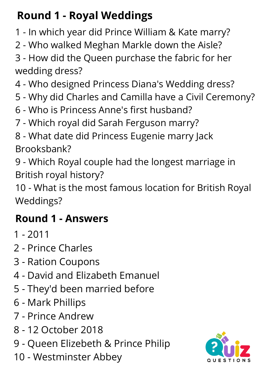# **Round 1 - Royal Weddings**

- In which year did Prince William & Kate marry?
- Who walked Meghan Markle down the Aisle?
- How did the Queen purchase the fabric for her wedding dress?
- Who designed Princess Diana's Wedding dress?
- Why did Charles and Camilla have a Civil Ceremony?
- Who is Princess Anne's first husband?
- Which royal did Sarah Ferguson marry?
- What date did Princess Eugenie marry Jack Brooksbank?

 - Which Royal couple had the longest marriage in British royal history?

 - What is the most famous location for British Royal Weddings?

# **Round 1 - Answers**

- 2011
- Prince Charles
- Ration Coupons
- David and Elizabeth Emanuel
- They'd been married before
- Mark Phillips
- Prince Andrew
- 12 October 2018
- Queen Elizebeth & Prince Philip
- Westminster Abbey

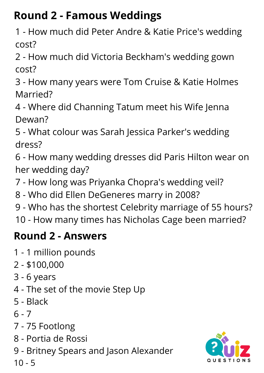## **Round 2 - Famous Weddings**

- How much did Peter Andre & Katie Price's wedding cost?
- How much did Victoria Beckham's wedding gown cost?
- How many years were Tom Cruise & Katie Holmes Married?
- Where did Channing Tatum meet his Wife Jenna Dewan?
- What colour was Sarah Jessica Parker's wedding dress?
- How many wedding dresses did Paris Hilton wear on her wedding day?
- How long was Priyanka Chopra's wedding veil?
- Who did Ellen DeGeneres marry in 2008?
- Who has the shortest Celebrity marriage of 55 hours?
- How many times has Nicholas Cage been married?

### **Round 2 - Answers**

- 1 million pounds
- \$100,000
- 6 years
- The set of the movie Step Up
- Black
- $6 7$
- 75 Footlong
- [Portia](https://www.google.com/search?sxsrf=APq-WBtKtbAQOPlSQQm40hTqnMhooGpjoQ:1647380958302&q=Portia+de+Rossi&stick=H4sIAAAAAAAAAONgVuLUz9U3MCxIrrJ8xGjCLfDyxz1hKe1Ja05eY1Tl4grOyC93zSvJLKkUEudig7J4pbi5ELp4FrHyB-QXlWQmKqSkKgTlFxdnAgDTF9ASVgAAAA&sa=X&ved=2ahUKEwiQ-NCmjMn2AhUEiFwKHVHBCbYQzIcDKAB6BAgKEAE) de Rossi
- Britney Spears and Jason Alexander
- 

- 5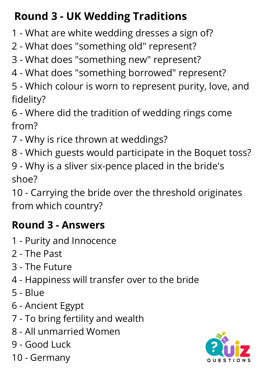## **Round 3 - UK Wedding Traditions**

- What are white wedding dresses a sign of?
- What does "something old" represent?
- What does "something new" represent?
- What does "something borrowed" represent?
- Which colour is worn to represent purity, love, and fidelity?
- Where did the tradition of wedding rings come from?
- Why is rice thrown at weddings?
- Which guests would participate in the Boquet toss?
- Why is a sliver six-pence placed in the bride's shoe?

 - Carrying the bride over the threshold originates from which country?

#### **Round 3 - Answers**

- Purity and Innocence
- The Past
- The Future
- Happiness will transfer over to the bride
- Blue
- Ancient Egypt
- To bring fertility and wealth
- All unmarried Women
- Good Luck
- Germany

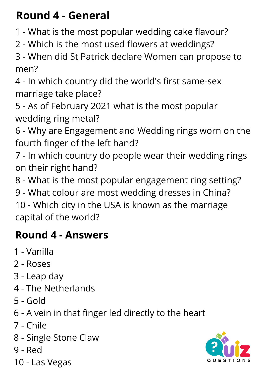### **Round 4 - General**

- What is the most popular wedding cake flavour?
- Which is the most used flowers at weddings?

 - When did St Patrick declare Women can propose to men?

 - In which country did the world's first same-sex marriage take place?

- As of February 2021 what is the most popular wedding ring metal?
- Why are Engagement and W[edding](https://www.theknot.com/marketplace/jewelers) rings worn on the fourth finger of the left hand?
- In which country do people wear their wedding rings on their right hand?
- What is the most popular engagement ring setting?
- What colour are most wedding dresses in China?

 - Which city in the USA is known as the marriage capital of the world?

## **Round 4 - Answers**

- Vanilla
- Roses
- Leap day
- The Netherlands
- Gold
- A vein in that finger led directly to the heart
- Chile
- Single Stone Claw
- Red
- Las Vegas